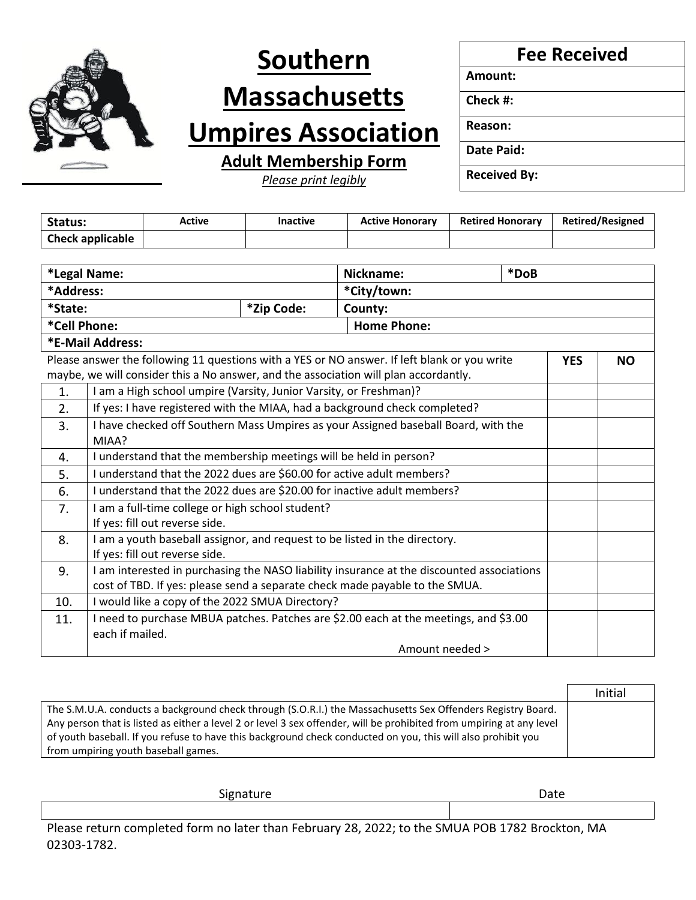

# **Southern Massachusetts**

## **Umpires Association**

**Adult Membership Form**

*Please print legibly*

**Fee Received**

**Amount:**

**Check #:**

**Reason:**

**Date Paid:**

**Received By:**

| Status:                 | Active | <b>Inactive</b> | <b>Active Honorary</b> | <b>Retired Honorary</b> | <b>Retired/Resigned</b> |
|-------------------------|--------|-----------------|------------------------|-------------------------|-------------------------|
| <b>Check applicable</b> |        |                 |                        |                         |                         |

| *Legal Name:                                                                                                            |                                                                                           | Nickname:   | *DoB |  |  |  |
|-------------------------------------------------------------------------------------------------------------------------|-------------------------------------------------------------------------------------------|-------------|------|--|--|--|
| *Address:                                                                                                               |                                                                                           | *City/town: |      |  |  |  |
| *State:<br>*Zip Code:                                                                                                   |                                                                                           | County:     |      |  |  |  |
| <b>Home Phone:</b><br>*Cell Phone:                                                                                      |                                                                                           |             |      |  |  |  |
| *E-Mail Address:                                                                                                        |                                                                                           |             |      |  |  |  |
| Please answer the following 11 questions with a YES or NO answer. If left blank or you write<br><b>YES</b><br><b>NO</b> |                                                                                           |             |      |  |  |  |
| maybe, we will consider this a No answer, and the association will plan accordantly.                                    |                                                                                           |             |      |  |  |  |
| 1.                                                                                                                      | I am a High school umpire (Varsity, Junior Varsity, or Freshman)?                         |             |      |  |  |  |
| 2.                                                                                                                      | If yes: I have registered with the MIAA, had a background check completed?                |             |      |  |  |  |
| 3.                                                                                                                      | I have checked off Southern Mass Umpires as your Assigned baseball Board, with the        |             |      |  |  |  |
|                                                                                                                         | MIAA?                                                                                     |             |      |  |  |  |
| 4.                                                                                                                      | I understand that the membership meetings will be held in person?                         |             |      |  |  |  |
| 5.                                                                                                                      | I understand that the 2022 dues are \$60.00 for active adult members?                     |             |      |  |  |  |
| 6.                                                                                                                      | I understand that the 2022 dues are \$20.00 for inactive adult members?                   |             |      |  |  |  |
| 7.                                                                                                                      | I am a full-time college or high school student?                                          |             |      |  |  |  |
|                                                                                                                         | If yes: fill out reverse side.                                                            |             |      |  |  |  |
| I am a youth baseball assignor, and request to be listed in the directory.<br>8.                                        |                                                                                           |             |      |  |  |  |
|                                                                                                                         | If yes: fill out reverse side.                                                            |             |      |  |  |  |
| 9.                                                                                                                      | I am interested in purchasing the NASO liability insurance at the discounted associations |             |      |  |  |  |
|                                                                                                                         | cost of TBD. If yes: please send a separate check made payable to the SMUA.               |             |      |  |  |  |
| 10.                                                                                                                     | I would like a copy of the 2022 SMUA Directory?                                           |             |      |  |  |  |
| 11.                                                                                                                     | I need to purchase MBUA patches. Patches are \$2.00 each at the meetings, and \$3.00      |             |      |  |  |  |
|                                                                                                                         | each if mailed.                                                                           |             |      |  |  |  |
|                                                                                                                         | Amount needed >                                                                           |             |      |  |  |  |

|                                                                                                                      | Initial |
|----------------------------------------------------------------------------------------------------------------------|---------|
| The S.M.U.A. conducts a background check through (S.O.R.I.) the Massachusetts Sex Offenders Registry Board.          |         |
| Any person that is listed as either a level 2 or level 3 sex offender, will be prohibited from umpiring at any level |         |
| of youth baseball. If you refuse to have this background check conducted on you, this will also prohibit you         |         |
| from umpiring youth baseball games.                                                                                  |         |

Signature Date Date Date

Please return completed form no later than February 28, 2022; to the SMUA POB 1782 Brockton, MA 02303-1782.